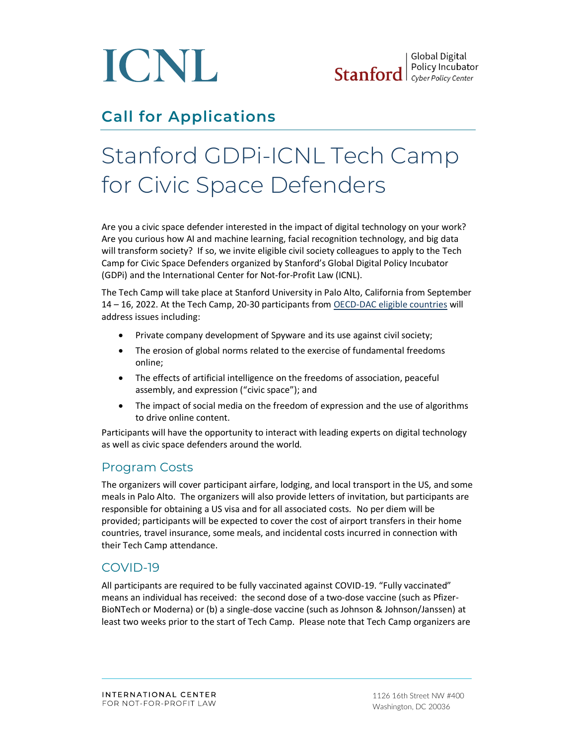

# **Call for Applications**

# Stanford GDPi-ICNL Tech Camp for Civic Space Defenders

Are you a civic space defender interested in the impact of digital technology on your work? Are you curious how AI and machine learning, facial recognition technology, and big data will transform society? If so, we invite eligible civil society colleagues to apply to the Tech Camp for Civic Space Defenders organized by Stanford's Global Digital Policy Incubator (GDPi) and the International Center for Not-for-Profit Law (ICNL).

The Tech Camp will take place at Stanford University in Palo Alto, California from September 14 – 16, 2022. At the Tech Camp, 20-30 participants fro[m OECD-DAC eligible countries](https://www.oecd.org/dac/financing-sustainable-development/development-finance-standards/DAC-List-of-ODA-Recipients-for-reporting-2022-23-flows.pdf) will address issues including:

- Private company development of Spyware and its use against civil society;
- The erosion of global norms related to the exercise of fundamental freedoms online;
- The effects of artificial intelligence on the freedoms of association, peaceful assembly, and expression ("civic space"); and
- The impact of social media on the freedom of expression and the use of algorithms to drive online content.

Participants will have the opportunity to interact with leading experts on digital technology as well as civic space defenders around the world.

#### Program Costs

The organizers will cover participant airfare, lodging, and local transport in the US, and some meals in Palo Alto. The organizers will also provide letters of invitation, but participants are responsible for obtaining a US visa and for all associated costs. No per diem will be provided; participants will be expected to cover the cost of airport transfers in their home countries, travel insurance, some meals, and incidental costs incurred in connection with their Tech Camp attendance.

#### COVID-19

All participants are required to be fully vaccinated against COVID-19. "Fully vaccinated" means an individual has received: the second dose of a two-dose vaccine (such as Pfizer-BioNTech or Moderna) or (b) a single-dose vaccine (such as Johnson & Johnson/Janssen) at least two weeks prior to the start of Tech Camp. Please note that Tech Camp organizers are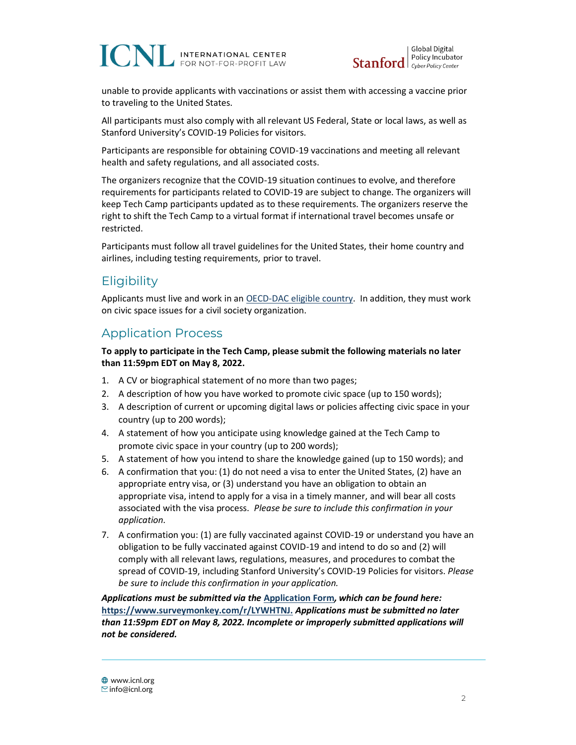## **ICNL INTERNATIONAL CENTER** FOR NOT-FOR-PROFIT LAW



unable to provide applicants with vaccinations or assist them with accessing a vaccine prior to traveling to the United States.

All participants must also comply with all relevant US Federal, State or local laws, as well as Stanford University's COVID-19 Policies for visitors.

Participants are responsible for obtaining COVID-19 vaccinations and meeting all relevant health and safety regulations, and all associated costs.

The organizers recognize that the COVID-19 situation continues to evolve, and therefore requirements for participants related to COVID-19 are subject to change. The organizers will keep Tech Camp participants updated as to these requirements. The organizers reserve the right to shift the Tech Camp to a virtual format if international travel becomes unsafe or restricted.

Participants must follow all travel guidelines for the United States, their home country and airlines, including testing requirements, prior to travel.

#### **Eligibility**

Applicants must live and work in a[n OECD-DAC eligible country.](https://www.oecd.org/dac/financing-sustainable-development/development-finance-standards/DAC-List-of-ODA-Recipients-for-reporting-2022-23-flows.pdf) In addition, they must work on civic space issues for a civil society organization.

### Application Process

**To apply to participate in the Tech Camp, please submit the following materials no later than 11:59pm EDT on May 8, 2022.**

- 1. A CV or biographical statement of no more than two pages;
- 2. A description of how you have worked to promote civic space (up to 150 words);
- 3. A description of current or upcoming digital laws or policies affecting civic space in your country (up to 200 words);
- 4. A statement of how you anticipate using knowledge gained at the Tech Camp to promote civic space in your country (up to 200 words);
- 5. A statement of how you intend to share the knowledge gained (up to 150 words); and
- 6. A confirmation that you: (1) do not need a visa to enter the United States, (2) have an appropriate entry visa, or (3) understand you have an obligation to obtain an appropriate visa, intend to apply for a visa in a timely manner, and will bear all costs associated with the visa process. *Please be sure to include this confirmation in your application.*
- 7. A confirmation you: (1) are fully vaccinated against COVID-19 or understand you have an obligation to be fully vaccinated against COVID-19 and intend to do so and (2) will comply with all relevant laws, regulations, measures, and procedures to combat the spread of COVID-19, including Stanford University's COVID-19 Policies for visitors. *Please be sure to include this confirmation in your application.*

*Applications must be submitted via the* **[Application Form](https://www.surveymonkey.com/r/LYWHTNJ)***, which can be found here:*  **<https://www.surveymonkey.com/r/LYWHTNJ.>** *Applications must be submitted no later than 11:59pm EDT on May 8, 2022. Incomplete or improperly submitted applications will not be considered.*